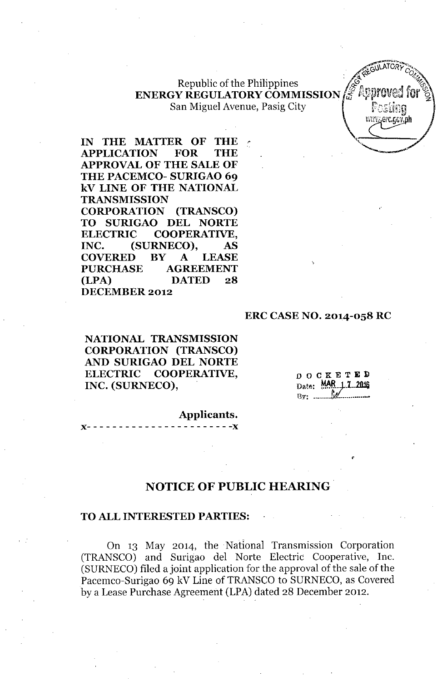### Republic of the Philippines **ENERGY REGULATORY COMMISSION** San Miguel Avenue, Pasig City

**IN THE MATTER OF THE, APPLICATION FOR THE APPROVAL OF THE SALE OF THE PACEMCO- SURIGAO 69 kV LINE OF THE NATIONAL TRANSMISSION CORPORATION (TRANSCO) TO SURIGAO DEL NORTE ELECTRIC COOPERATIVE, INC. (SURNECO), AS COVERED BY A LEASE PURCHASE AGREEMENT (LPA) DATED 28 DECEMBER 2012**

#### **ERC CASE NO. 2014-058 RC**

**NATIONAL TRANSMISSION CORPORATION (TRANSCO) AND SURIGAO DEL NORTE ELECTRIC COOPERATIVE, INC. (SURNECO),**

**OOCKETE];)**  $_{\text{Date}}$ :  $\frac{\text{MAR}}{1}$ . 7... 2016 By: .\_. *.\_tl1,.- •.\_.... \_~*

*. 4\J.roRvc".,* . ~~~,-,- C?A~

erc.ggv.dh

**Applicants.** )(- - - - - - - - - - - - - - - - - - - - - - **-)(**

# **NOTICE OF PUBLIC HEARING**

#### **TO ALL INTERESTED PARTIES:**

On 13 May 2014, the Natlonal Transmission Corporation (TRANSCO) and Surigao del Norte Electric Cooperative, Inc. (SURNECO) filed a joint application for the approval of the sale of the Pacemco-Surigao 69 kV Line of TRANSCO to SURNECO, as Covered by a Lease Purchase Agreement (LPA) dated 28 December 2012.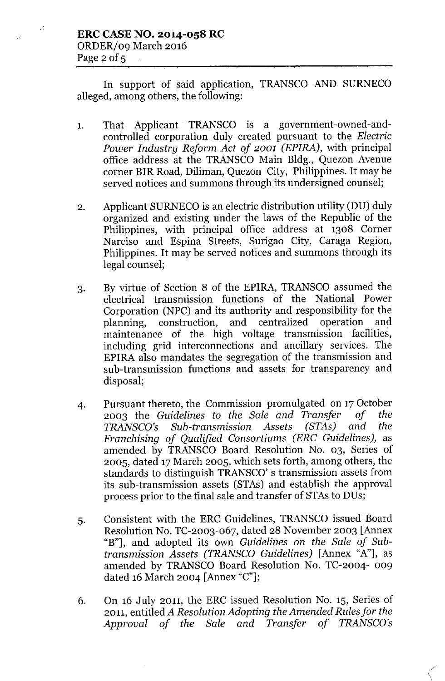$\chi^{\rm A}_{\rm A}$ 

 $\bar{\mathcal{M}}$ 

In support of said application, TRANSCO AND SURNECO alleged, among others, the following:

- 1. That Applicant TRANSCO is a government-owned-andcontrolled corporation duly created pursuant to the *Electric Power Industry Reform Act of 2001 (EPIRA),* with principal office address at the TRANSCO Main Bldg., Quezon Avenue corner BIR Road, Diliman, Quezon City, Philippines. It may be served notices and summons through its undersigned counsel;
- 2. Applicant SURNECO is an electric distribution utility (DU) duly organized and existing under the laws of the Republic of the Philippines, with principal office address at 1308 Corner Narciso and Espina Streets, Surigao City, Caraga Region, Philippines. It may be served notices and summons through its legal counsel;
- 3. By virtue of Section 8 of the EPIRA, TRANSCO assumed the electrical transmission functions of the National Power Corporation (NPC) and its authority and responsibility for the planning, construction, and centralized operation and maintenance of the high voltage transmission facilities, including grid interconnections and ancillary services. The EPIRA also mandates the segregation of the transmission and sub-transmission functions and assets for transparency and disposal;
- 4. Pursuant thereto, the Commission promulgated on 17October 2003 the *Guidelines to the Sale and Transfer of the TRANSCO's Sub-transmission Assets (STAs) and the Franchising of Qualified Consortiums (ERC Guidelines),* as amended by TRANSCO Board Resolution No. 03, Series of 2005, dated 17March 2005, which sets forth, among others, the standards to distinguish TRANSCO's transmission assets from its sub-transmission assets (STAs) and establish the approval process prior to the final sale and transfer of STAs to DUs;
- 5. Consistent with the ERC Guidelines, TRANSCO issued Board Resolution No. TC-2003-067, dated 28 November 2003 [Annex "B"], and adopted its own *Guidelines* on *the Sale of Subtransmission Assets (TRANSCO Guidelines)* [Annex "A"], as amended by TRANSCO Board Resolution No. TC-2004- 009 dated 16 March 2004 [Annex "C"];
- 6. On 16 July 2011, the ERC issued Resolution No. 15, Series of 2011, entitled *A Resolution Adopting the Amended Rules for the Approval of the Sale and Transfer of TRANSCO's*

\,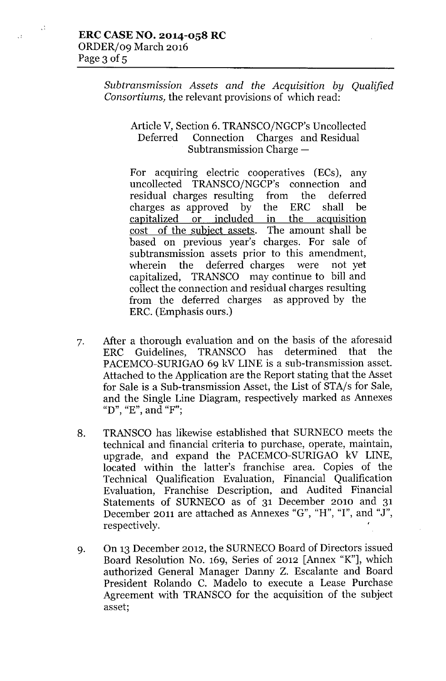$\mathcal{A}$ 

 $\ddot{\phantom{0}}$ 

*Subtransmission Assets and the Acquisition by Qualified Consortiums,* the relevant provisions of which read:

## Article V, Section 6. TRANSCO/NGCP's Uncollected Deferred Connection Charges and Residual Subtransmission Charge  $-$

For acquiring electric cooperatives (ECs), any uncollected TRANSCO/NGCP's connection and residual charges resulting from the deferred charges as approved by the ERC shall be capitalized or included in the acquisition cost of the subject assets. The amount shall be based on previous year's charges. For sale of subtransmission assets prior to this amendment, wherein the deferred charges were not yet capitalized, TRANSCO may continue to bill and collect the connection and residual charges resulting from the deferred charges as approved by the ERC. (Emphasis ours.)

- 7. After a thorough evaluation and on the basis of the aforesaid ERC Guidelines, TRANSCO has determined that the PACEMCO-SURIGAO 69 kV LINE is a sub-transmission asset. Attached to the Application are the Report stating that the Asset for Sale is a Sub-transmission Asset, the List of STA/s for Sale, and the Single Line Diagram, respectively marked as Annexes "D"**,** "E"**, an**d "F'"**,**
- 8. TRANSCO has likewise established that SURNECO meets the technical and financial criteria to purchase, operate, maintain, upgrade, and expand the PACEMCO-SURIGAO kV LINE, located within the latter's franchise area. Copies of the Technical Qualification Evaluation, Financial Qualification Evaluation, Franchise Description, and Audited Financial Statements of SURNECO as of 31 December 2010 and 31 December 2011 are attached as Annexes "G", "H", "I", and "J", respectively.
- 9. On 13 December 2012, the SURNECO Board of Directors issued Board Resolution No. 169, Series of 2012 [Annex "K"], which authorized General Manager Danny Z. Escalante and Board President Rolando C. Madelo to execute a Lease Purchase Agreement with TRANSCO for the acquisition of the subject asset;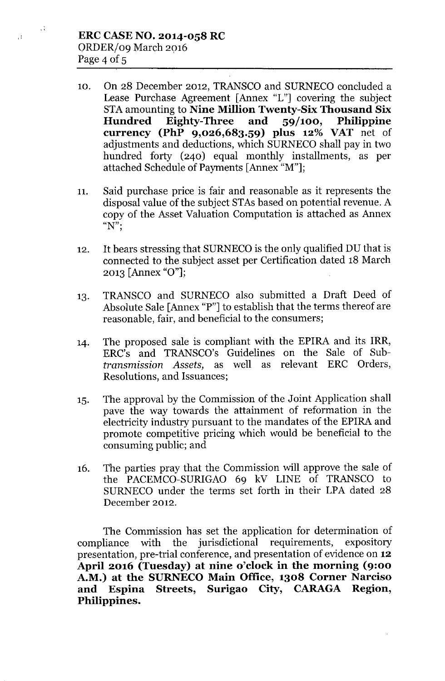$\alpha$ 

 $\pm 2$ 

- 10. On 28 December 2012, TRANSCO and SURNECO concluded a Lease Purchase Agreement [Annex "L"] covering the subject STA amounting to Nine Million Twenty-Six Thousand Six<br>Hundred Eighty-Three and 59/100, Philippine Hundred Eighty-Three and 59/100, Philippine currency (PhP 9,026,683.59) plus 12% VAT net of adjustments and deductions, which SURNECO shall pay in two hundred forty (240) equal monthly installments, as per attached Schedule of Payments [Annex "M"];
- 11. Said purchase price is fair and reasonable as it represents the disposal value of the subject STAs based on potential revenue. A copy of the Asset Valuation Computation is attached as Annex " $N$ ";
- 12. It bears stressing that SURNECO is the only qualified DU that is connected to the subject asset per Certification dated 18 March 2013 [Annex "0"];
- 13. TRANSCO and SURNECO also submitted a Draft Deed of Absolute Sale [Annex "P"] to establish that the terms thereof are reasonable, fair, and beneficial to the consumers;
- 14. The proposed sale is compliant with the EPIRA and its IRR, ERC's and TRANSCO's Guidelines on the Sale of Sub*transmission Assets,* as well as relevant ERC Orders, Resolutions, and Issuances;
- 15. The approval by the Commission of the Joint Application shall pave the way towards the attainment of reformation in the electricity industry pursuant to the mandates of the EPIRA and promote competitive pricing which would be beneficial to the consuming public; and
- 16. The parties pray that the Commission will approve the sale of the PACEMCO-SURIGAO 69 kV LINE of TRANSCO to SURNECO under the terms set forth in their LPA dated 28 December 2012.

The Commission has set the application for determination of compliance with the jurisdictional requirements, expository presentation, pre-trial conference, and presentation of evidence on 12 April 2016 (Tuesday) at nine o'clock in the morning (9:00 A.M.) at the SURNECO Main Office, 1308 Corner Narciso and Espina Streets, Surigao City, CARAGA Region, Philippines.